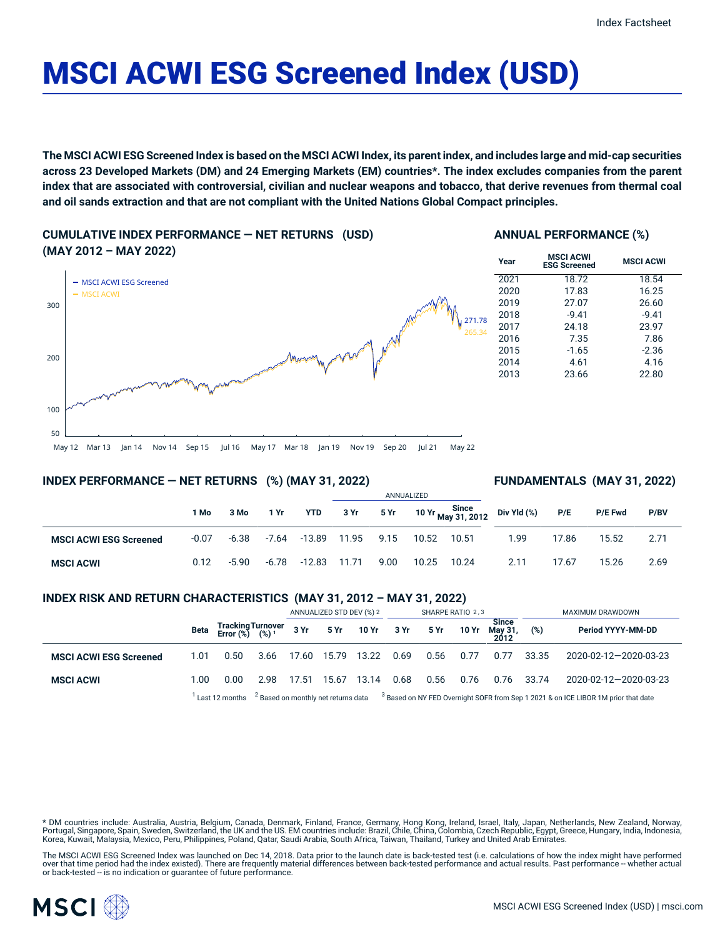# MSCI ACWI ESG Screened Index (USD)

The MSCI ACWI ESG Screened Index is based on the MSCI ACWI Index, its parent index, and includes large and mid-cap securities across 23 Developed Markets (DM) and 24 Emerging Markets (EM) countries\*. The index excludes companies from the parent index that are associated with controversial, civilian and nuclear weapons and tobacco, that derive revenues from thermal coal **and oil sands extraction and that are not compliant with the United Nations Global Compact principles.**

**CUMULATIVE INDEX PERFORMANCE — NET RETURNS (USD) (MAY 2012 – MAY 2022)**

#### **ANNUAL PERFORMANCE (%)**



#### **INDEX PERFORMANCE — NET RETURNS (%) (MAY 31, 2022)**

#### **FUNDAMENTALS (MAY 31, 2022)**

|                               |         |         |       |                | ANNUALIZED |      |       |             |                                         |       |                |      |
|-------------------------------|---------|---------|-------|----------------|------------|------|-------|-------------|-----------------------------------------|-------|----------------|------|
|                               | 1 Mo    | 3 Mo    | 1 Yr  | <b>YTD</b>     | 3Yr        |      |       |             | 5 Yr 10 Yr May 31, 2012 Div Yld (%) P/E |       | <b>P/E Fwd</b> | P/BV |
| <b>MSCI ACWI ESG Screened</b> | $-0.07$ | -6.38   | -7.64 | -13.89         | 11.95 9.15 |      | 10.52 | 10.51       | 1.99                                    | 17.86 | 15.52          | 2.71 |
| <b>MSCI ACWI</b>              | 0.12    | $-5.90$ | -6.78 | $-12.83$ 11.71 |            | 9.00 |       | 10.25 10.24 | 2.11                                    | 17.67 | 15.26          | 2.69 |

#### **INDEX RISK AND RETURN CHARACTERISTICS (MAY 31, 2012 – MAY 31, 2022)**

|                               |      |                                                                                                                                                                     |      | ANNUALIZED STD DEV (%) 2 |       |                           | SHARPE RATIO 2,3 |      |       |                         | MAXIMUM DRAWDOWN |                       |  |
|-------------------------------|------|---------------------------------------------------------------------------------------------------------------------------------------------------------------------|------|--------------------------|-------|---------------------------|------------------|------|-------|-------------------------|------------------|-----------------------|--|
|                               | Beta | Tracking Turnover<br>Error (%) (%) <sup>1</sup>                                                                                                                     |      |                          |       | 3 Yr 5 Yr 10 Yr 3 Yr 5 Yr |                  |      | 10 Yr | <b>Since</b><br>May 31, | (%)              | Period YYYY-MM-DD     |  |
| <b>MSCI ACWI ESG Screened</b> | 1.01 | 0.50                                                                                                                                                                | 3.66 | 17.60                    | 15.79 | 13.22                     | 0.69             | 0.56 | 0.77  | 0.77                    | 33.35            | 2020-02-12-2020-03-23 |  |
| <b>MSCI ACWI</b>              | 1.00 | 0.00                                                                                                                                                                | 2.98 | 17.51                    | 15.67 | 13.14                     | 0.68             | 0.56 | 0.76  | 0.76                    | 33.74            | 2020-02-12-2020-03-23 |  |
|                               |      | <sup>3</sup> Based on NY FED Overnight SOFR from Sep 1 2021 & on ICE LIBOR 1M prior that date<br><sup>2</sup> Based on monthly net returns data<br>' Last 12 months |      |                          |       |                           |                  |      |       |                         |                  |                       |  |

\* DM countries include: Australia, Austria, Belgium, Canada, Denmark, Finland, France, Germany, Hong Kong, Ireland, Israel, Italy, Japan, Netherlands, New Zealand, Norway, Portugal, Singapore, Spain, Sweden, Switzerland, the UK and the US. EM countries include: Brazil, Chile, China, Colombia, Czech Republic, Egypt, Greece, Hungary, India, Indonesia, Korea, Kuwait, Malaysia, Mexico, Peru, Philippines, Poland, Qatar, Saudi Arabia, South Africa, Taiwan, Thailand, Turkey and United Arab Emirates.

The MSCI ACWI ESG Screened Index was launched on Dec 14, 2018. Data prior to the launch date is back-tested test (i.e. calculations of how the index might have performed<br>over that time period had the index existed). There or back-tested -- is no indication or guarantee of future performance.

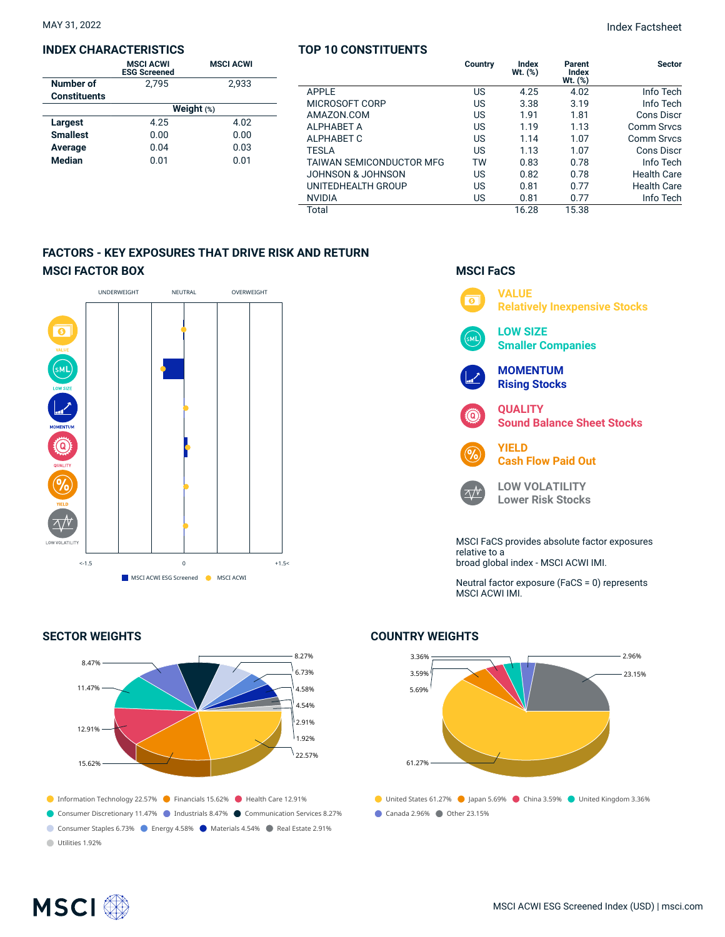#### **INDEX CHARACTERISTICS**

|                     | <b>MSCI ACWI</b><br><b>ESG Screened</b> | <b>MSCI ACWI</b> |  |  |  |  |  |
|---------------------|-----------------------------------------|------------------|--|--|--|--|--|
| Number of           | 2.795                                   | 2,933            |  |  |  |  |  |
| <b>Constituents</b> |                                         |                  |  |  |  |  |  |
|                     | Weight (%)                              |                  |  |  |  |  |  |
| <b>Largest</b>      | 4.25                                    | 4.02             |  |  |  |  |  |
| <b>Smallest</b>     | 0.00                                    | 0.00             |  |  |  |  |  |
| Average             | 0.04                                    | 0.03             |  |  |  |  |  |
| <b>Median</b>       | 0.01                                    | 0.01             |  |  |  |  |  |

#### **TOP 10 CONSTITUENTS**

|                          | Country | Index<br>Wt. (%) | Parent<br>Index<br>$Wt.$ $(\%)$ | <b>Sector</b>      |
|--------------------------|---------|------------------|---------------------------------|--------------------|
| APPLE                    | US      | 4.25             | 4.02                            | Info Tech          |
| MICROSOFT CORP           | US      | 3.38             | 3.19                            | Info Tech          |
| AMAZON.COM               | US      | 1.91             | 1.81                            | <b>Cons Discr</b>  |
| ALPHABET A               | US      | 1.19             | 1.13                            | <b>Comm Srvcs</b>  |
| ALPHABET C               | US      | 1.14             | 1.07                            | <b>Comm Srvcs</b>  |
| TESLA                    | US      | 1.13             | 1.07                            | <b>Cons Discr</b>  |
| TAIWAN SEMICONDUCTOR MFG | TW      | 0.83             | 0.78                            | Info Tech          |
| JOHNSON & JOHNSON        | US      | 0.82             | 0.78                            | <b>Health Care</b> |
| UNITEDHEALTH GROUP       | US      | 0.81             | 0.77                            | <b>Health Care</b> |
| NVIDIA                   | US      | 0.81             | 0.77                            | Info Tech          |
| Total                    |         | 16.28            | 15.38                           |                    |
|                          |         |                  |                                 |                    |

### **FACTORS - KEY EXPOSURES THAT DRIVE RISK AND RETURN MSCI FACTOR BOX**



#### **SECTOR WEIGHTS**



## **MSCI FaCS**



Neutral factor exposure (FaCS = 0) represents MSCI ACWI IMI.

# ● United States 61.27% ● Japan 5.69% ● China 3.59% ● United Kingdom 3.36% Canada 2.96% Other 23.15% 3.36% 3.59% 5.69% 61.27% 2.96%  $-23.15%$

#### **COUNTRY WEIGHTS**